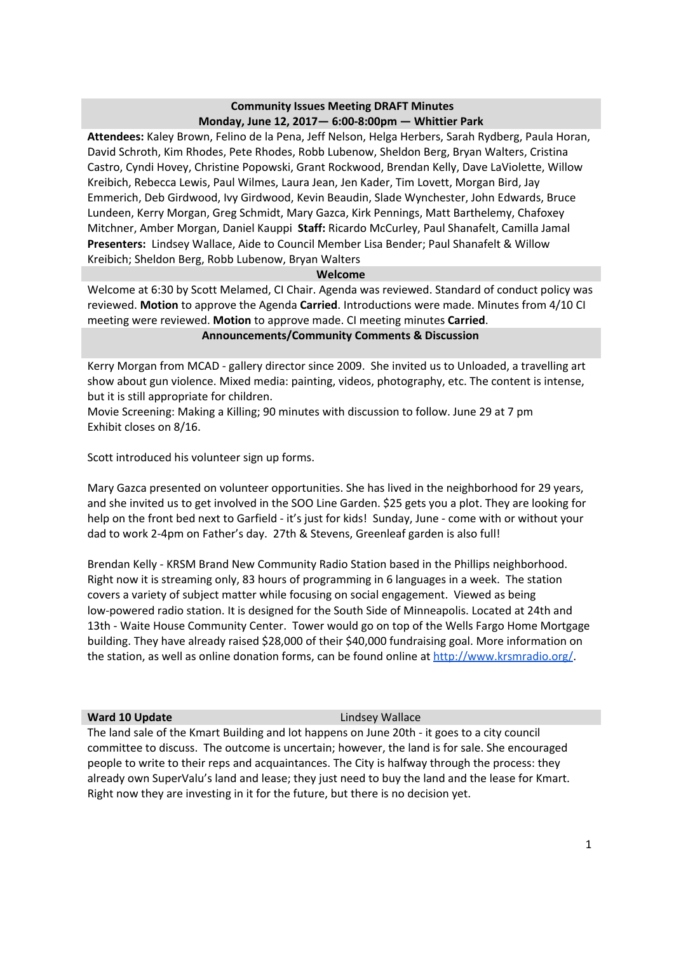## **Community Issues Meeting DRAFT Minutes Monday, June 12, 2017— 6:00-8:00pm — Whittier Park**

**Attendees:** Kaley Brown, Felino de la Pena, Jeff Nelson, Helga Herbers, Sarah Rydberg, Paula Horan, David Schroth, Kim Rhodes, Pete Rhodes, Robb Lubenow, Sheldon Berg, Bryan Walters, Cristina Castro, Cyndi Hovey, Christine Popowski, Grant Rockwood, Brendan Kelly, Dave LaViolette, Willow Kreibich, Rebecca Lewis, Paul Wilmes, Laura Jean, Jen Kader, Tim Lovett, Morgan Bird, Jay Emmerich, Deb Girdwood, Ivy Girdwood, Kevin Beaudin, Slade Wynchester, John Edwards, Bruce Lundeen, Kerry Morgan, Greg Schmidt, Mary Gazca, Kirk Pennings, Matt Barthelemy, Chafoxey Mitchner, Amber Morgan, Daniel Kauppi **Staff:** Ricardo McCurley, Paul Shanafelt, Camilla Jamal **Presenters:** Lindsey Wallace, Aide to Council Member Lisa Bender; Paul Shanafelt & Willow Kreibich; Sheldon Berg, Robb Lubenow, Bryan Walters

### **Welcome**

Welcome at 6:30 by Scott Melamed, CI Chair. Agenda was reviewed. Standard of conduct policy was reviewed. **Motion** to approve the Agenda **Carried**. Introductions were made. Minutes from 4/10 CI meeting were reviewed. **Motion** to approve made. CI meeting minutes **Carried**. **Announcements/Community Comments & Discussion**

Kerry Morgan from MCAD - gallery director since 2009. She invited us to Unloaded, a travelling art show about gun violence. Mixed media: painting, videos, photography, etc. The content is intense, but it is still appropriate for children.

Movie Screening: Making a Killing; 90 minutes with discussion to follow. June 29 at 7 pm Exhibit closes on 8/16.

Scott introduced his volunteer sign up forms.

Mary Gazca presented on volunteer opportunities. She has lived in the neighborhood for 29 years, and she invited us to get involved in the SOO Line Garden. \$25 gets you a plot. They are looking for help on the front bed next to Garfield - it's just for kids! Sunday, June - come with or without your dad to work 2-4pm on Father's day. 27th & Stevens, Greenleaf garden is also full!

Brendan Kelly - KRSM Brand New Community Radio Station based in the Phillips neighborhood. Right now it is streaming only, 83 hours of programming in 6 languages in a week. The station covers a variety of subject matter while focusing on social engagement. Viewed as being low-powered radio station. It is designed for the South Side of Minneapolis. Located at 24th and 13th - Waite House Community Center. Tower would go on top of the Wells Fargo Home Mortgage building. They have already raised \$28,000 of their \$40,000 fundraising goal. More information on the station, as well as online donation forms, can be found online at <http://www.krsmradio.org/>.

### **Ward 10 Update Lindsey Wallace**

The land sale of the Kmart Building and lot happens on June 20th - it goes to a city council committee to discuss. The outcome is uncertain; however, the land is for sale. She encouraged people to write to their reps and acquaintances. The City is halfway through the process: they already own SuperValu's land and lease; they just need to buy the land and the lease for Kmart. Right now they are investing in it for the future, but there is no decision yet.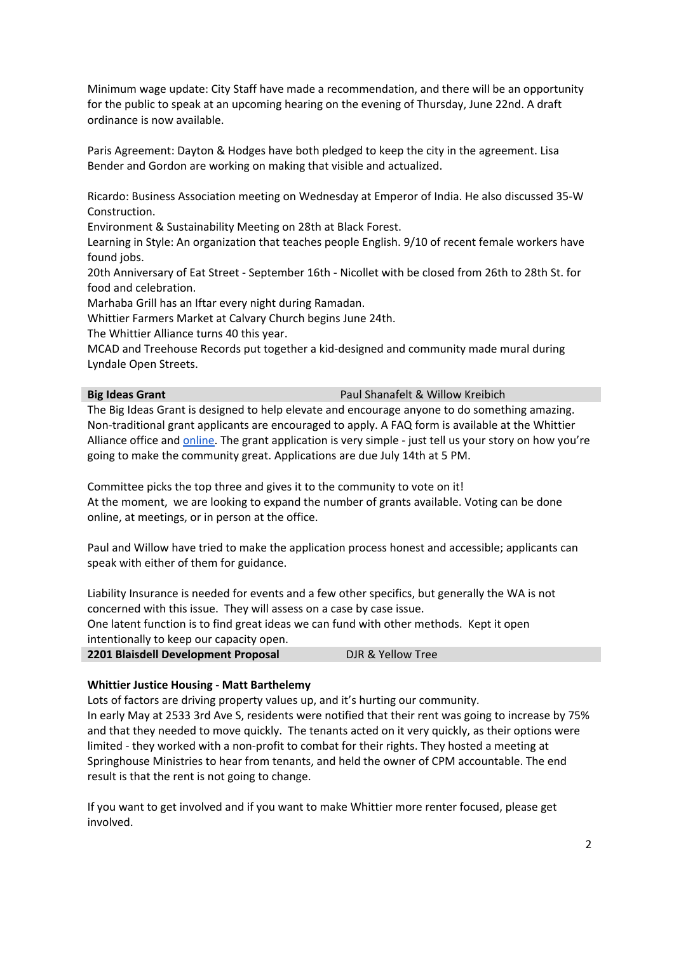Minimum wage update: City Staff have made a recommendation, and there will be an opportunity for the public to speak at an upcoming hearing on the evening of Thursday, June 22nd. A draft ordinance is now available.

Paris Agreement: Dayton & Hodges have both pledged to keep the city in the agreement. Lisa Bender and Gordon are working on making that visible and actualized.

Ricardo: Business Association meeting on Wednesday at Emperor of India. He also discussed 35-W Construction.

Environment & Sustainability Meeting on 28th at Black Forest.

Learning in Style: An organization that teaches people English. 9/10 of recent female workers have found jobs.

20th Anniversary of Eat Street - September 16th - Nicollet with be closed from 26th to 28th St. for food and celebration.

Marhaba Grill has an Iftar every night during Ramadan.

Whittier Farmers Market at Calvary Church begins June 24th.

The Whittier Alliance turns 40 this year.

MCAD and Treehouse Records put together a kid-designed and community made mural during Lyndale Open Streets.

### **Big Ideas Grant Big Ideas** Grant

The Big Ideas Grant is designed to help elevate and encourage anyone to do something amazing. Non-traditional grant applicants are encouraged to apply. A FAQ form is available at the Whittier Alliance office and **online**. The grant application is very simple - just tell us your story on how you're going to make the community great. Applications are due July 14th at 5 PM.

Committee picks the top three and gives it to the community to vote on it! At the moment, we are looking to expand the number of grants available. Voting can be done online, at meetings, or in person at the office.

Paul and Willow have tried to make the application process honest and accessible; applicants can speak with either of them for guidance.

Liability Insurance is needed for events and a few other specifics, but generally the WA is not concerned with this issue. They will assess on a case by case issue.

One latent function is to find great ideas we can fund with other methods. Kept it open intentionally to keep our capacity open.

**2201 Blaisdell Development Proposal** DJR & Yellow Tree

### **Whittier Justice Housing - Matt Barthelemy**

Lots of factors are driving property values up, and it's hurting our community. In early May at 2533 3rd Ave S, residents were notified that their rent was going to increase by 75% and that they needed to move quickly. The tenants acted on it very quickly, as their options were limited - they worked with a non-profit to combat for their rights. They hosted a meeting at Springhouse Ministries to hear from tenants, and held the owner of CPM accountable. The end result is that the rent is not going to change.

If you want to get involved and if you want to make Whittier more renter focused, please get involved.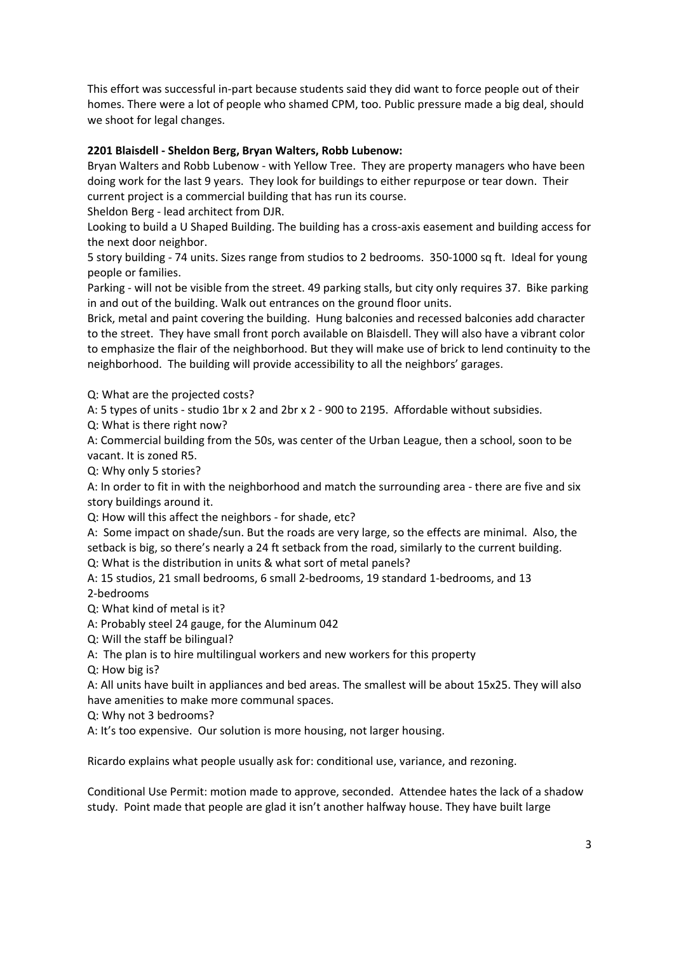This effort was successful in-part because students said they did want to force people out of their homes. There were a lot of people who shamed CPM, too. Public pressure made a big deal, should we shoot for legal changes.

# **2201 Blaisdell - Sheldon Berg, Bryan Walters, Robb Lubenow:**

Bryan Walters and Robb Lubenow - with Yellow Tree. They are property managers who have been doing work for the last 9 years. They look for buildings to either repurpose or tear down. Their current project is a commercial building that has run its course.

Sheldon Berg - lead architect from DJR.

Looking to build a U Shaped Building. The building has a cross-axis easement and building access for the next door neighbor.

5 story building - 74 units. Sizes range from studios to 2 bedrooms. 350-1000 sq ft. Ideal for young people or families.

Parking - will not be visible from the street. 49 parking stalls, but city only requires 37. Bike parking in and out of the building. Walk out entrances on the ground floor units.

Brick, metal and paint covering the building. Hung balconies and recessed balconies add character to the street. They have small front porch available on Blaisdell. They will also have a vibrant color to emphasize the flair of the neighborhood. But they will make use of brick to lend continuity to the neighborhood. The building will provide accessibility to all the neighbors' garages.

Q: What are the projected costs?

A: 5 types of units - studio 1br x 2 and 2br x 2 - 900 to 2195. Affordable without subsidies.

Q: What is there right now?

A: Commercial building from the 50s, was center of the Urban League, then a school, soon to be vacant. It is zoned R5.

Q: Why only 5 stories?

A: In order to fit in with the neighborhood and match the surrounding area - there are five and six story buildings around it.

Q: How will this affect the neighbors - for shade, etc?

A: Some impact on shade/sun. But the roads are very large, so the effects are minimal. Also, the setback is big, so there's nearly a 24 ft setback from the road, similarly to the current building.

Q: What is the distribution in units & what sort of metal panels?

A: 15 studios, 21 small bedrooms, 6 small 2-bedrooms, 19 standard 1-bedrooms, and 13 2-bedrooms

Q: What kind of metal is it?

A: Probably steel 24 gauge, for the Aluminum 042

Q: Will the staff be bilingual?

A: The plan is to hire multilingual workers and new workers for this property

Q: How big is?

A: All units have built in appliances and bed areas. The smallest will be about 15x25. They will also have amenities to make more communal spaces.

Q: Why not 3 bedrooms?

A: It's too expensive. Our solution is more housing, not larger housing.

Ricardo explains what people usually ask for: conditional use, variance, and rezoning.

Conditional Use Permit: motion made to approve, seconded. Attendee hates the lack of a shadow study. Point made that people are glad it isn't another halfway house. They have built large